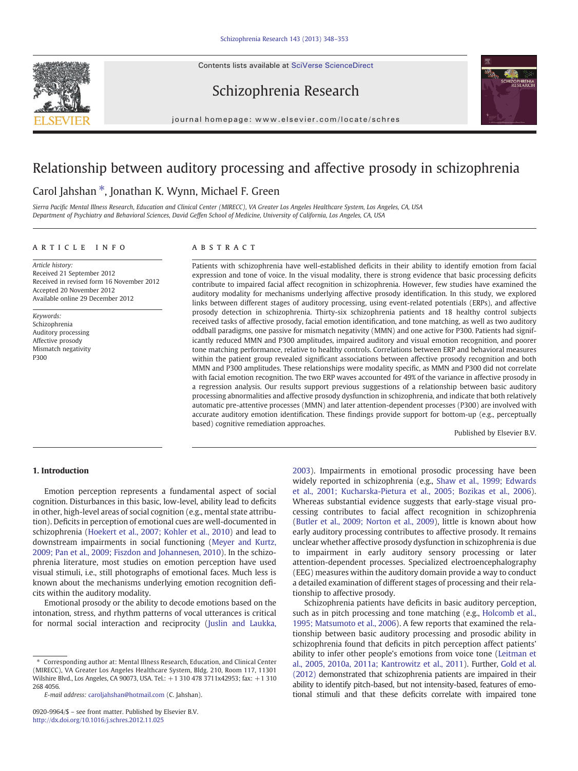Contents lists available at SciVerse ScienceDirect







journal homepage: www.elsevier.com/locate/schres

# Relationship between auditory processing and affective prosody in schizophrenia

# Carol Jahshan ⁎, Jonathan K. Wynn, Michael F. Green

Sierra Pacific Mental Illness Research, Education and Clinical Center (MIRECC), VA Greater Los Angeles Healthcare System, Los Angeles, CA, USA Department of Psychiatry and Behavioral Sciences, David Geffen School of Medicine, University of California, Los Angeles, CA, USA

# article info abstract

Article history: Received 21 September 2012 Received in revised form 16 November 2012 Accepted 20 November 2012 Available online 29 December 2012

Keywords: Schizophrenia Auditory processing Affective prosody Mismatch negativity P300

Patients with schizophrenia have well-established deficits in their ability to identify emotion from facial expression and tone of voice. In the visual modality, there is strong evidence that basic processing deficits contribute to impaired facial affect recognition in schizophrenia. However, few studies have examined the auditory modality for mechanisms underlying affective prosody identification. In this study, we explored links between different stages of auditory processing, using event-related potentials (ERPs), and affective prosody detection in schizophrenia. Thirty-six schizophrenia patients and 18 healthy control subjects received tasks of affective prosody, facial emotion identification, and tone matching, as well as two auditory oddball paradigms, one passive for mismatch negativity (MMN) and one active for P300. Patients had significantly reduced MMN and P300 amplitudes, impaired auditory and visual emotion recognition, and poorer tone matching performance, relative to healthy controls. Correlations between ERP and behavioral measures within the patient group revealed significant associations between affective prosody recognition and both MMN and P300 amplitudes. These relationships were modality specific, as MMN and P300 did not correlate with facial emotion recognition. The two ERP waves accounted for 49% of the variance in affective prosody in a regression analysis. Our results support previous suggestions of a relationship between basic auditory processing abnormalities and affective prosody dysfunction in schizophrenia, and indicate that both relatively automatic pre-attentive processes (MMN) and later attention-dependent processes (P300) are involved with accurate auditory emotion identification. These findings provide support for bottom-up (e.g., perceptually based) cognitive remediation approaches.

Published by Elsevier B.V.

# 1. Introduction

Emotion perception represents a fundamental aspect of social cognition. Disturbances in this basic, low-level, ability lead to deficits in other, high-level areas of social cognition (e.g., mental state attribution). Deficits in perception of emotional cues are well-documented in schizophrenia ([Hoekert et al., 2007; Kohler et al., 2010\)](#page-5-0) and lead to downstream impairments in social functioning [\(Meyer and Kurtz,](#page-5-0) [2009; Pan et al., 2009; Fiszdon and Johannesen, 2010\)](#page-5-0). In the schizophrenia literature, most studies on emotion perception have used visual stimuli, i.e., still photographs of emotional faces. Much less is known about the mechanisms underlying emotion recognition deficits within the auditory modality.

Emotional prosody or the ability to decode emotions based on the intonation, stress, and rhythm patterns of vocal utterances is critical for normal social interaction and reciprocity [\(Juslin and Laukka,](#page-5-0)

[2003\)](#page-5-0). Impairments in emotional prosodic processing have been widely reported in schizophrenia (e.g., [Shaw et al., 1999; Edwards](#page-5-0) [et al., 2001; Kucharska-Pietura et al., 2005; Bozikas et al., 2006](#page-5-0)). Whereas substantial evidence suggests that early-stage visual processing contributes to facial affect recognition in schizophrenia [\(Butler et al., 2009; Norton et al., 2009\)](#page-4-0), little is known about how early auditory processing contributes to affective prosody. It remains unclear whether affective prosody dysfunction in schizophrenia is due to impairment in early auditory sensory processing or later attention-dependent processes. Specialized electroencephalography (EEG) measures within the auditory domain provide a way to conduct a detailed examination of different stages of processing and their relationship to affective prosody.

Schizophrenia patients have deficits in basic auditory perception, such as in pitch processing and tone matching (e.g., [Holcomb et al.,](#page-5-0) [1995; Matsumoto et al., 2006](#page-5-0)). A few reports that examined the relationship between basic auditory processing and prosodic ability in schizophrenia found that deficits in pitch perception affect patients' ability to infer other people's emotions from voice tone ([Leitman et](#page-5-0) [al., 2005, 2010a, 2011a; Kantrowitz et al., 2011\)](#page-5-0). Further, [Gold et al.](#page-5-0) [\(2012\)](#page-5-0) demonstrated that schizophrenia patients are impaired in their ability to identify pitch-based, but not intensity-based, features of emotional stimuli and that these deficits correlate with impaired tone

<sup>⁎</sup> Corresponding author at: Mental Illness Research, Education, and Clinical Center (MIRECC), VA Greater Los Angeles Healthcare System, Bldg. 210, Room 117, 11301 Wilshire Blvd., Los Angeles, CA 90073, USA. Tel.: +1 310 478 3711x42953; fax: +1 310 268 4056.

E-mail address: [caroljahshan@hotmail.com](mailto:caroljahshan@hotmail.com) (C. Jahshan).

<sup>0920-9964/\$</sup> – see front matter. Published by Elsevier B.V. <http://dx.doi.org/10.1016/j.schres.2012.11.025>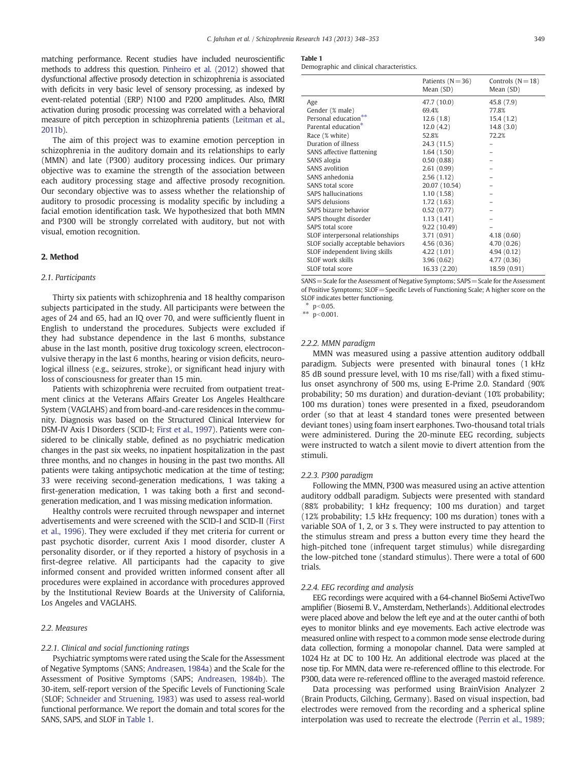<span id="page-1-0"></span>matching performance. Recent studies have included neuroscientific methods to address this question. [Pinheiro et al. \(2012\)](#page-5-0) showed that dysfunctional affective prosody detection in schizophrenia is associated with deficits in very basic level of sensory processing, as indexed by event-related potential (ERP) N100 and P200 amplitudes. Also, fMRI activation during prosodic processing was correlated with a behavioral measure of pitch perception in schizophrenia patients [\(Leitman et al.,](#page-5-0) [2011b](#page-5-0)).

The aim of this project was to examine emotion perception in schizophrenia in the auditory domain and its relationships to early (MMN) and late (P300) auditory processing indices. Our primary objective was to examine the strength of the association between each auditory processing stage and affective prosody recognition. Our secondary objective was to assess whether the relationship of auditory to prosodic processing is modality specific by including a facial emotion identification task. We hypothesized that both MMN and P300 will be strongly correlated with auditory, but not with visual, emotion recognition.

# 2. Method

# 2.1. Participants

Thirty six patients with schizophrenia and 18 healthy comparison subjects participated in the study. All participants were between the ages of 24 and 65, had an IQ over 70, and were sufficiently fluent in English to understand the procedures. Subjects were excluded if they had substance dependence in the last 6 months, substance abuse in the last month, positive drug toxicology screen, electroconvulsive therapy in the last 6 months, hearing or vision deficits, neurological illness (e.g., seizures, stroke), or significant head injury with loss of consciousness for greater than 15 min.

Patients with schizophrenia were recruited from outpatient treatment clinics at the Veterans Affairs Greater Los Angeles Healthcare System (VAGLAHS) and from board-and-care residences in the community. Diagnosis was based on the Structured Clinical Interview for DSM-IV Axis I Disorders (SCID-I; [First et al., 1997\)](#page-5-0). Patients were considered to be clinically stable, defined as no psychiatric medication changes in the past six weeks, no inpatient hospitalization in the past three months, and no changes in housing in the past two months. All patients were taking antipsychotic medication at the time of testing; 33 were receiving second-generation medications, 1 was taking a first-generation medication, 1 was taking both a first and secondgeneration medication, and 1 was missing medication information.

Healthy controls were recruited through newspaper and internet advertisements and were screened with the SCID-I and SCID-II ([First](#page-5-0) [et al., 1996\)](#page-5-0). They were excluded if they met criteria for current or past psychotic disorder, current Axis I mood disorder, cluster A personality disorder, or if they reported a history of psychosis in a first-degree relative. All participants had the capacity to give informed consent and provided written informed consent after all procedures were explained in accordance with procedures approved by the Institutional Review Boards at the University of California, Los Angeles and VAGLAHS.

# 2.2. Measures

#### 2.2.1. Clinical and social functioning ratings

Psychiatric symptoms were rated using the Scale for the Assessment of Negative Symptoms (SANS; [Andreasen, 1984a](#page-4-0)) and the Scale for the Assessment of Positive Symptoms (SAPS; [Andreasen, 1984b\)](#page-4-0). The 30-item, self-report version of the Specific Levels of Functioning Scale (SLOF; [Schneider and Struening, 1983](#page-5-0)) was used to assess real-world functional performance. We report the domain and total scores for the SANS, SAPS, and SLOF in Table 1.

#### Table 1

Demographic and clinical characteristics.

|                                          | Patients $(N=36)$<br>Mean (SD) | Controls $(N=18)$<br>Mean (SD) |
|------------------------------------------|--------------------------------|--------------------------------|
| Age                                      | 47.7 (10.0)                    | 45.8 (7.9)                     |
| Gender (% male)                          | 69.4%                          | 77.8%                          |
| $***$<br>Personal education <sup>7</sup> | 12.6(1.8)                      | 15.4(1.2)                      |
| Parental education <sup>*</sup>          | 12.0(4.2)                      | 14.8(3.0)                      |
| Race (% white)                           | 52.8%                          | 72.2%                          |
| Duration of illness                      | 24.3 (11.5)                    |                                |
| SANS affective flattening                | 1.64(1.50)                     |                                |
| SANS alogia                              | 0.50(0.88)                     |                                |
| SANS avolition                           | 2.61(0.99)                     |                                |
| SANS anhedonia                           | 2.56(1.12)                     |                                |
| SANS total score                         | 20.07 (10.54)                  |                                |
| SAPS hallucinations                      | 1.10(1.58)                     |                                |
| <b>SAPS</b> delusions                    | 1.72(1.63)                     |                                |
| SAPS bizarre behavior                    | 0.52(0.77)                     |                                |
| SAPS thought disorder                    | 1.13(1.41)                     |                                |
| SAPS total score                         | 9.22 (10.49)                   |                                |
| SLOF interpersonal relationships         | 3.71(0.91)                     | 4.18(0.60)                     |
| SLOF socially acceptable behaviors       | 4.56 (0.36)                    | 4.70 (0.26)                    |
| SLOF independent living skills           | 4.22 (1.01)                    | 4.94(0.12)                     |
| SLOF work skills                         | 3.96(0.62)                     | 4.77 (0.36)                    |
| SLOF total score                         | 16.33(2.20)                    | 18.59 (0.91)                   |

SANS = Scale for the Assessment of Negative Symptoms; SAPS = Scale for the Assessment of Positive Symptoms; SLOF=Specific Levels of Functioning Scale; A higher score on the SLOF indicates better functioning.

 $*$  p<0.05.

\*\*  $p < 0.001$ .

# 2.2.2. MMN paradigm

MMN was measured using a passive attention auditory oddball paradigm. Subjects were presented with binaural tones (1 kHz 85 dB sound pressure level, with 10 ms rise/fall) with a fixed stimulus onset asynchrony of 500 ms, using E-Prime 2.0. Standard (90% probability; 50 ms duration) and duration-deviant (10% probability; 100 ms duration) tones were presented in a fixed, pseudorandom order (so that at least 4 standard tones were presented between deviant tones) using foam insert earphones. Two-thousand total trials were administered. During the 20-minute EEG recording, subjects were instructed to watch a silent movie to divert attention from the stimuli.

#### 2.2.3. P300 paradigm

Following the MMN, P300 was measured using an active attention auditory oddball paradigm. Subjects were presented with standard (88% probability; 1 kHz frequency; 100 ms duration) and target (12% probability; 1.5 kHz frequency; 100 ms duration) tones with a variable SOA of 1, 2, or 3 s. They were instructed to pay attention to the stimulus stream and press a button every time they heard the high-pitched tone (infrequent target stimulus) while disregarding the low-pitched tone (standard stimulus). There were a total of 600 trials.

#### 2.2.4. EEG recording and analysis

EEG recordings were acquired with a 64-channel BioSemi ActiveTwo amplifier (Biosemi B. V., Amsterdam, Netherlands). Additional electrodes were placed above and below the left eye and at the outer canthi of both eyes to monitor blinks and eye movements. Each active electrode was measured online with respect to a common mode sense electrode during data collection, forming a monopolar channel. Data were sampled at 1024 Hz at DC to 100 Hz. An additional electrode was placed at the nose tip. For MMN, data were re-referenced offline to this electrode. For P300, data were re-referenced offline to the averaged mastoid reference.

Data processing was performed using BrainVision Analyzer 2 (Brain Products, Gilching, Germany). Based on visual inspection, bad electrodes were removed from the recording and a spherical spline interpolation was used to recreate the electrode ([Perrin et al., 1989;](#page-5-0)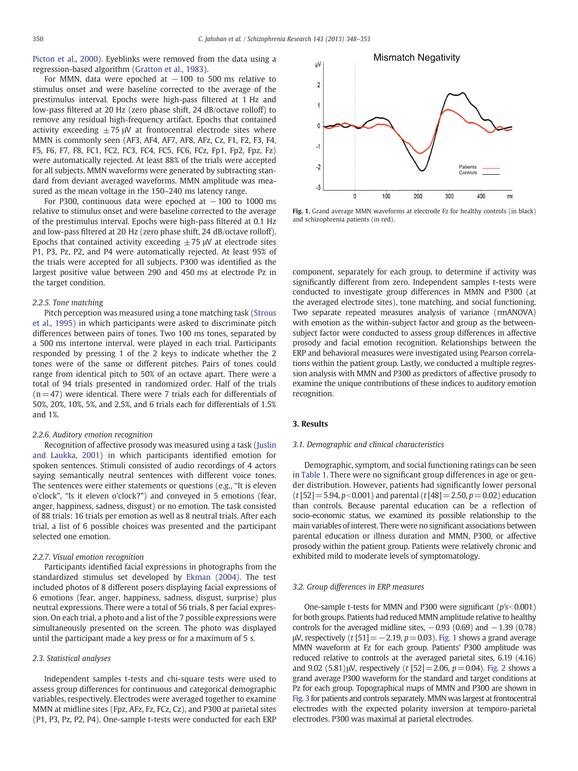[Picton et al., 2000\)](#page-5-0). Eyeblinks were removed from the data using a regression-based algorithm ([Gratton et al., 1983\)](#page-5-0).

For MMN, data were epoched at  $-100$  to 500 ms relative to stimulus onset and were baseline corrected to the average of the prestimulus interval. Epochs were high-pass filtered at 1 Hz and low-pass filtered at 20 Hz (zero phase shift, 24 dB/octave rolloff) to remove any residual high-frequency artifact. Epochs that contained activity exceeding  $\pm$  75  $\mu$ V at frontocentral electrode sites where MMN is commonly seen (AF3, AF4, AF7, AF8, AFz, Cz, F1, F2, F3, F4, F5, F6, F7, F8, FC1, FC2, FC3, FC4, FC5, FC6, FCz, Fp1, Fp2, Fpz, Fz) were automatically rejected. At least 88% of the trials were accepted for all subjects. MMN waveforms were generated by subtracting standard from deviant averaged waveforms. MMN amplitude was measured as the mean voltage in the 150–240 ms latency range.

For P300, continuous data were epoched at  $-100$  to 1000 ms relative to stimulus onset and were baseline corrected to the average of the prestimulus interval. Epochs were high-pass filtered at 0.1 Hz and low-pass filtered at 20 Hz (zero phase shift, 24 dB/octave rolloff). Epochs that contained activity exceeding  $\pm$  75  $\mu$ V at electrode sites P1, P3, Pz, P2, and P4 were automatically rejected. At least 95% of the trials were accepted for all subjects. P300 was identified as the largest positive value between 290 and 450 ms at electrode Pz in the target condition.

#### 2.2.5. Tone matching

Pitch perception was measured using a tone matching task ([Strous](#page-5-0) [et al., 1995\)](#page-5-0) in which participants were asked to discriminate pitch differences between pairs of tones. Two 100 ms tones, separated by a 500 ms intertone interval, were played in each trial. Participants responded by pressing 1 of the 2 keys to indicate whether the 2 tones were of the same or different pitches. Pairs of tones could range from identical pitch to 50% of an octave apart. There were a total of 94 trials presented in randomized order. Half of the trials  $(n=47)$  were identical. There were 7 trials each for differentials of 50%, 20%, 10%, 5%, and 2.5%, and 6 trials each for differentials of 1.5% and 1%.

#### 2.2.6. Auditory emotion recognition

Recognition of affective prosody was measured using a task ([Juslin](#page-5-0) [and Laukka, 2001\)](#page-5-0) in which participants identified emotion for spoken sentences. Stimuli consisted of audio recordings of 4 actors saying semantically neutral sentences with different voice tones. The sentences were either statements or questions (e.g., "It is eleven o'clock", "Is it eleven o'clock?") and conveyed in 5 emotions (fear, anger, happiness, sadness, disgust) or no emotion. The task consisted of 88 trials: 16 trials per emotion as well as 8 neutral trials. After each trial, a list of 6 possible choices was presented and the participant selected one emotion.

#### 2.2.7. Visual emotion recognition

Participants identified facial expressions in photographs from the standardized stimulus set developed by [Ekman \(2004\).](#page-5-0) The test included photos of 8 different posers displaying facial expressions of 6 emotions (fear, anger, happiness, sadness, disgust, surprise) plus neutral expressions. There were a total of 56 trials, 8 per facial expression. On each trial, a photo and a list of the 7 possible expressions were simultaneously presented on the screen. The photo was displayed until the participant made a key press or for a maximum of 5 s.

# 2.3. Statistical analyses

Independent samples t-tests and chi-square tests were used to assess group differences for continuous and categorical demographic variables, respectively. Electrodes were averaged together to examine MMN at midline sites (Fpz, AFz, Fz, FCz, Cz), and P300 at parietal sites (P1, P3, Pz, P2, P4). One-sample t-tests were conducted for each ERP



Fig. 1. Grand average MMN waveforms at electrode Fz for healthy controls (in black) and schizophrenia patients (in red).

component, separately for each group, to determine if activity was significantly different from zero. Independent samples t-tests were conducted to investigate group differences in MMN and P300 (at the averaged electrode sites), tone matching, and social functioning. Two separate repeated measures analysis of variance (rmANOVA) with emotion as the within-subject factor and group as the betweensubject factor were conducted to assess group differences in affective prosody and facial emotion recognition. Relationships between the ERP and behavioral measures were investigated using Pearson correlations within the patient group. Lastly, we conducted a multiple regression analysis with MMN and P300 as predictors of affective prosody to examine the unique contributions of these indices to auditory emotion recognition.

## 3. Results

#### 3.1. Demographic and clinical characteristics

Demographic, symptom, and social functioning ratings can be seen in [Table 1.](#page-1-0) There were no significant group differences in age or gender distribution. However, patients had significantly lower personal  $(t [52]=5.94, p<0.001)$  and parental  $(t [48]=2.50, p=0.02)$  education than controls. Because parental education can be a reflection of socio-economic status, we examined its possible relationship to the main variables of interest. There were no significant associations between parental education or illness duration and MMN, P300, or affective prosody within the patient group. Patients were relatively chronic and exhibited mild to moderate levels of symptomatology.

#### 3.2. Group differences in ERP measures

One-sample t-tests for MMN and P300 were significant ( $p's < 0.001$ ) for both groups. Patients had reduced MMN amplitude relative to healthy controls for the averaged midline sites,  $-0.93$  (0.69) and  $-1.39$  (0.78) μV, respectively (*t* [51] = −2.19,  $p$  = 0.03). Fig. 1 shows a grand average MMN waveform at Fz for each group. Patients' P300 amplitude was reduced relative to controls at the averaged parietal sites, 6.19 (4.16) and 9.02 (5.81) $\mu$ V, respectively (t [52] = 2.06, p = 0.04). [Fig. 2](#page-3-0) shows a grand average P300 waveform for the standard and target conditions at Pz for each group. Topographical maps of MMN and P300 are shown in [Fig. 3](#page-3-0) for patients and controls separately. MMN was largest at frontocentral electrodes with the expected polarity inversion at temporo-parietal electrodes. P300 was maximal at parietal electrodes.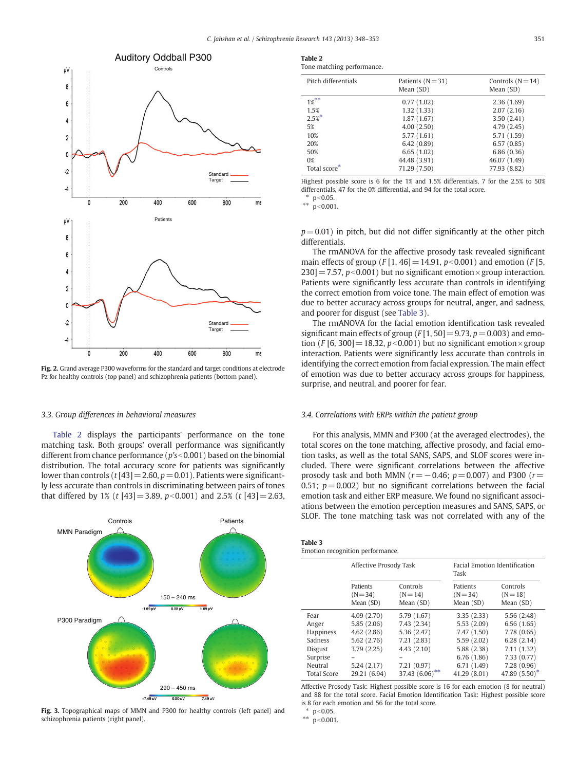<span id="page-3-0"></span>

Fig. 2. Grand average P300 waveforms for the standard and target conditions at electrode Pz for healthy controls (top panel) and schizophrenia patients (bottom panel).

# 3.3. Group differences in behavioral measures

Table 2 displays the participants' performance on the tone matching task. Both groups' overall performance was significantly different from chance performance ( $p$ 's<0.001) based on the binomial distribution. The total accuracy score for patients was significantly lower than controls (t [43] = 2.60,  $p=0.01$ ). Patients were significantly less accurate than controls in discriminating between pairs of tones that differed by 1% (t [43] = 3.89,  $p<0.001$ ) and 2.5% (t [43] = 2.63,



Fig. 3. Topographical maps of MMN and P300 for healthy controls (left panel) and schizophrenia patients (right panel).

| Table 2                    |  |
|----------------------------|--|
| Tone matching performance. |  |

| Pitch differentials | Patients $(N=31)$<br>Mean $(SD)$ | Controls $(N=14)$<br>Mean (SD) |
|---------------------|----------------------------------|--------------------------------|
| $1%^{**}$           | 0.77(1.02)                       | 2.36(1.69)                     |
| 1.5%                | 1.32(1.33)                       | 2.07(2.16)                     |
| $2.5%$ *            | 1.87(1.67)                       | 3.50(2.41)                     |
| 5%                  | 4.00(2.50)                       | 4.79(2.45)                     |
| 10%                 | 5.77 (1.61)                      | 5.71 (1.59)                    |
| 20%                 | 6.42(0.89)                       | 6.57(0.85)                     |
| 50%                 | 6.65(1.02)                       | 6.86(0.36)                     |
| $0\%$               | 44.48 (3.91)                     | 46.07 (1.49)                   |
| Total score*        | 71.29 (7.50)                     | 77.93 (8.82)                   |
|                     |                                  |                                |

Highest possible score is 6 for the 1% and 1.5% differentials, 7 for the 2.5% to 50% differentials, 47 for the 0% differential, and 94 for the total score.

\*  $p < 0.05$ .

\*\*  $p < 0.001$ .

 $p=0.01$ ) in pitch, but did not differ significantly at the other pitch differentials.

The rmANOVA for the affective prosody task revealed significant main effects of group ( $F [1, 46] = 14.91$ ,  $p<0.001$ ) and emotion ( $F [5, 6]$  $230$ ] = 7.57, p < 0.001) but no significant emotion × group interaction. Patients were significantly less accurate than controls in identifying the correct emotion from voice tone. The main effect of emotion was due to better accuracy across groups for neutral, anger, and sadness, and poorer for disgust (see Table 3).

The rmANOVA for the facial emotion identification task revealed significant main effects of group ( $F[1, 50] = 9.73$ ,  $p = 0.003$ ) and emotion (F [6, 300] = 18.32,  $p$ <0.001) but no significant emotion× group interaction. Patients were significantly less accurate than controls in identifying the correct emotion from facial expression. The main effect of emotion was due to better accuracy across groups for happiness, surprise, and neutral, and poorer for fear.

## 3.4. Correlations with ERPs within the patient group

For this analysis, MMN and P300 (at the averaged electrodes), the total scores on the tone matching, affective prosody, and facial emotion tasks, as well as the total SANS, SAPS, and SLOF scores were included. There were significant correlations between the affective prosody task and both MMN ( $r=-0.46$ ;  $p=0.007$ ) and P300 ( $r=$ 0.51;  $p = 0.002$ ) but no significant correlations between the facial emotion task and either ERP measure. We found no significant associations between the emotion perception measures and SANS, SAPS, or SLOF. The tone matching task was not correlated with any of the

| Table 3                          |  |
|----------------------------------|--|
| Emotion recognition performance. |  |

|                                                                                       | Affective Prosody Task                                                            |                                                                                     | <b>Facial Emotion Identification</b><br>Task                                                    |                                                                                                  |  |
|---------------------------------------------------------------------------------------|-----------------------------------------------------------------------------------|-------------------------------------------------------------------------------------|-------------------------------------------------------------------------------------------------|--------------------------------------------------------------------------------------------------|--|
|                                                                                       | Patients<br>$(N = 34)$<br>Mean (SD)                                               | Controls<br>$(N = 14)$<br>Mean (SD)                                                 | Patients<br>$(N = 34)$<br>Mean (SD)                                                             | Controls<br>$(N = 18)$<br>Mean (SD)                                                              |  |
| Fear<br>Anger<br><b>Happiness</b><br>Sadness<br><b>Disgust</b><br>Surprise<br>Neutral | 4.09(2.70)<br>5.85(2.06)<br>4.62(2.86)<br>5.62 (2.76)<br>3.79(2.25)<br>5.24(2.17) | 5.79 (1.67)<br>7.43 (2.34)<br>5.36(2.47)<br>7.21(2.83)<br>4.43(2.10)<br>7.21 (0.97) | 3.35(2.33)<br>5.53(2.09)<br>7.47(1.50)<br>5.59(2.02)<br>5.88 (2.38)<br>6.76(1.86)<br>6.71(1.49) | 5.56 (2.48)<br>6.56(1.65)<br>7.78 (0.65)<br>6.28(2.14)<br>7.11(1.32)<br>7.33(0.77)<br>7.28(0.96) |  |
| <b>Total Score</b>                                                                    | 37.43 $(6.06)$ **<br>29.21 (6.94)                                                 |                                                                                     | 41.29 (8.01)                                                                                    | 47.89 (5.50)*                                                                                    |  |

Affective Prosody Task: Highest possible score is 16 for each emotion (8 for neutral) and 88 for the total score. Facial Emotion Identification Task: Highest possible score is 8 for each emotion and 56 for the total score.

\*  $p < 0.05$ .<br>\*\*  $p < 0.001$ 

 $p < 0.001$ .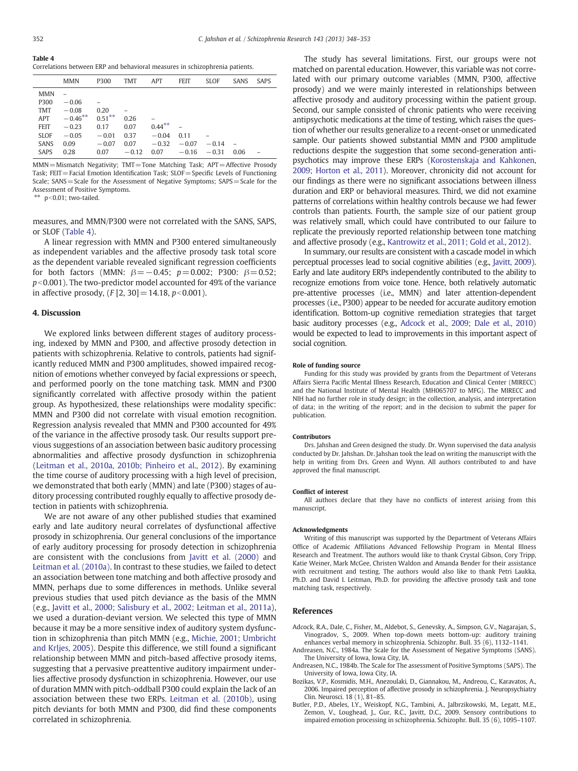<span id="page-4-0"></span>Table 4 Correlations between ERP and behavioral measures in schizophrenia patients.

|                            | <b>MMN</b>            | P300               | <b>TMT</b>   | <b>APT</b>         | <b>FEIT</b>     | <b>SLOF</b> | <b>SANS</b> | <b>SAPS</b> |
|----------------------------|-----------------------|--------------------|--------------|--------------------|-----------------|-------------|-------------|-------------|
| <b>MMN</b><br>P300         | $-0.06$               |                    |              |                    |                 |             |             |             |
| <b>TMT</b>                 | $-0.08$<br>$-0.46***$ | 0.20<br>$0.51***$  |              |                    |                 |             |             |             |
| APT<br><b>FEIT</b>         | $-0.23$               | 0.17               | 0.26<br>0.07 | $0.44***$          |                 |             |             |             |
| <b>SLOF</b><br><b>SANS</b> | $-0.05$<br>0.09       | $-0.01$<br>$-0.07$ | 0.37<br>0.07 | $-0.04$<br>$-0.32$ | 0.11<br>$-0.07$ | $-0.14$     |             |             |
| <b>SAPS</b>                | 0.28                  | 0.07               | $-0.12$      | 0.07               | $-0.16$         | $-0.31$     | 0.06        |             |

 $MMN = Mismatch$  Negativity: TMT=Tone Matching Task: APT=Affective Prosody Task:  $FET =$  Facial Emotion Identification Task:  $SLOF =$  Specific Levels of Functioning Scale; SANS=Scale for the Assessment of Negative Symptoms; SAPS=Scale for the Assessment of Positive Symptoms.

 $**$  p<0.01; two-tailed.

measures, and MMN/P300 were not correlated with the SANS, SAPS, or SLOF (Table 4).

A linear regression with MMN and P300 entered simultaneously as independent variables and the affective prosody task total score as the dependent variable revealed significant regression coefficients for both factors (MMN:  $β = -0.45$ ;  $p = 0.002$ ; P300:  $β = 0.52$ ;  $p<0.001$ ). The two-predictor model accounted for 49% of the variance in affective prosody,  $(F [2, 30] = 14.18, p<0.001)$ .

#### 4. Discussion

We explored links between different stages of auditory processing, indexed by MMN and P300, and affective prosody detection in patients with schizophrenia. Relative to controls, patients had significantly reduced MMN and P300 amplitudes, showed impaired recognition of emotions whether conveyed by facial expressions or speech, and performed poorly on the tone matching task. MMN and P300 significantly correlated with affective prosody within the patient group. As hypothesized, these relationships were modality specific: MMN and P300 did not correlate with visual emotion recognition. Regression analysis revealed that MMN and P300 accounted for 49% of the variance in the affective prosody task. Our results support previous suggestions of an association between basic auditory processing abnormalities and affective prosody dysfunction in schizophrenia [\(Leitman et al., 2010a, 2010b; Pinheiro et al., 2012\)](#page-5-0). By examining the time course of auditory processing with a high level of precision, we demonstrated that both early (MMN) and late (P300) stages of auditory processing contributed roughly equally to affective prosody detection in patients with schizophrenia.

We are not aware of any other published studies that examined early and late auditory neural correlates of dysfunctional affective prosody in schizophrenia. Our general conclusions of the importance of early auditory processing for prosody detection in schizophrenia are consistent with the conclusions from [Javitt et al. \(2000\)](#page-5-0) and [Leitman et al. \(2010a\)](#page-5-0). In contrast to these studies, we failed to detect an association between tone matching and both affective prosody and MMN, perhaps due to some differences in methods. Unlike several previous studies that used pitch deviance as the basis of the MMN (e.g., [Javitt et al., 2000; Salisbury et al., 2002; Leitman et al., 2011a](#page-5-0)), we used a duration-deviant version. We selected this type of MMN because it may be a more sensitive index of auditory system dysfunction in schizophrenia than pitch MMN (e.g., [Michie, 2001; Umbricht](#page-5-0) [and Krljes, 2005](#page-5-0)). Despite this difference, we still found a significant relationship between MMN and pitch-based affective prosody items, suggesting that a pervasive preattentive auditory impairment underlies affective prosody dysfunction in schizophrenia. However, our use of duration MMN with pitch-oddball P300 could explain the lack of an association between these two ERPs. [Leitman et al. \(2010b\),](#page-5-0) using pitch deviants for both MMN and P300, did find these components correlated in schizophrenia.

The study has several limitations. First, our groups were not matched on parental education. However, this variable was not correlated with our primary outcome variables (MMN, P300, affective prosody) and we were mainly interested in relationships between affective prosody and auditory processing within the patient group. Second, our sample consisted of chronic patients who were receiving antipsychotic medications at the time of testing, which raises the question of whether our results generalize to a recent-onset or unmedicated sample. Our patients showed substantial MMN and P300 amplitude reductions despite the suggestion that some second-generation antipsychotics may improve these ERPs ([Korostenskaja and Kahkonen,](#page-5-0) [2009; Horton et al., 2011\)](#page-5-0). Moreover, chronicity did not account for our findings as there were no significant associations between illness duration and ERP or behavioral measures. Third, we did not examine patterns of correlations within healthy controls because we had fewer controls than patients. Fourth, the sample size of our patient group was relatively small, which could have contributed to our failure to replicate the previously reported relationship between tone matching and affective prosody (e.g., [Kantrowitz et al., 2011; Gold et al., 2012\)](#page-5-0).

In summary, our results are consistent with a cascade model in which perceptual processes lead to social cognitive abilities (e.g., [Javitt, 2009\)](#page-5-0). Early and late auditory ERPs independently contributed to the ability to recognize emotions from voice tone. Hence, both relatively automatic pre-attentive processes (i.e., MMN) and later attention-dependent processes (i.e., P300) appear to be needed for accurate auditory emotion identification. Bottom-up cognitive remediation strategies that target basic auditory processes (e.g., Adcock et al., 2009; Dale et al., 2010) would be expected to lead to improvements in this important aspect of social cognition.

#### Role of funding source

Funding for this study was provided by grants from the Department of Veterans Affairs Sierra Pacific Mental Illness Research, Education and Clinical Center (MIRECC) and the National Institute of Mental Health (MH065707 to MFG). The MIRECC and NIH had no further role in study design; in the collection, analysis, and interpretation of data; in the writing of the report; and in the decision to submit the paper for publication.

#### Contributors

Drs. Jahshan and Green designed the study. Dr. Wynn supervised the data analysis conducted by Dr. Jahshan. Dr. Jahshan took the lead on writing the manuscript with the help in writing from Drs. Green and Wynn. All authors contributed to and have approved the final manuscript.

#### Conflict of interest

All authors declare that they have no conflicts of interest arising from this manuscript.

#### Acknowledgments

Writing of this manuscript was supported by the Department of Veterans Affairs Office of Academic Affiliations Advanced Fellowship Program in Mental Illness Research and Treatment. The authors would like to thank Crystal Gibson, Cory Tripp, Katie Weiner, Mark McGee, Christen Waldon and Amanda Bender for their assistance with recruitment and testing. The authors would also like to thank Petri Laukka, Ph.D. and David I. Leitman, Ph.D. for providing the affective prosody task and tone matching task, respectively.

## References

Adcock, R.A., Dale, C., Fisher, M., Aldebot, S., Genevsky, A., Simpson, G.V., Nagarajan, S., Vinogradov, S., 2009. When top-down meets bottom-up: auditory training

- enhances verbal memory in schizophrenia. Schizophr. Bull. 35 (6), 1132–1141. Andreasen, N.C., 1984a. The Scale for the Assessment of Negative Symptoms (SANS). The University of Iowa, Iowa City, IA.
- Andreasen, N.C., 1984b. The Scale for The assessment of Positive Symptoms (SAPS). The University of Iowa, Iowa City, IA.
- Bozikas, V.P., Kosmidis, M.H., Anezoulaki, D., Giannakou, M., Andreou, C., Karavatos, A., 2006. Impaired perception of affective prosody in schizophrenia. J. Neuropsychiatry Clin. Neurosci. 18 (1), 81–85.
- Butler, P.D., Abeles, I.Y., Weiskopf, N.G., Tambini, A., Jalbrzikowski, M., Legatt, M.E., Zemon, V., Loughead, J., Gur, R.C., Javitt, D.C., 2009. Sensory contributions to impaired emotion processing in schizophrenia. Schizophr. Bull. 35 (6), 1095–1107.